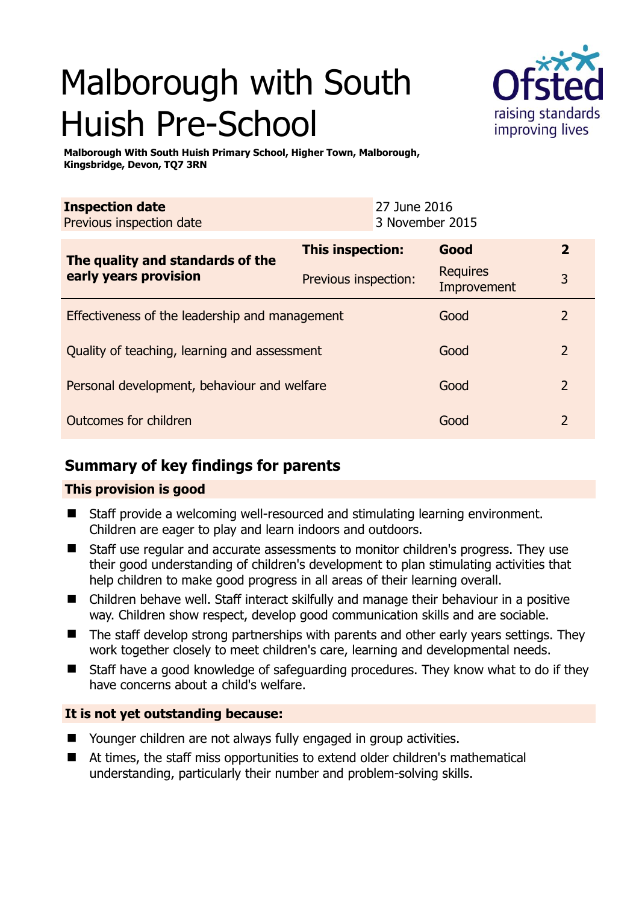# Malborough with South Huish Pre-School



**Malborough With South Huish Primary School, Higher Town, Malborough, Kingsbridge, Devon, TQ7 3RN** 

| <b>Inspection date</b><br>Previous inspection date        |                      | 27 June 2016<br>3 November 2015 |              |
|-----------------------------------------------------------|----------------------|---------------------------------|--------------|
| The quality and standards of the<br>early years provision | This inspection:     | Good                            | $\mathbf{2}$ |
|                                                           | Previous inspection: | <b>Requires</b><br>Improvement  | 3            |
| Effectiveness of the leadership and management            |                      | Good                            |              |
| Quality of teaching, learning and assessment              |                      | Good                            |              |

Personal development, behaviour and welfare **Constanting Good** 2

## Outcomes for children and 2 and 2 and 2 and 2 and 2 and 2 and 2 and 2 and 2 and 2 and 2 and 2 and 2 and 2 and 2

# **Summary of key findings for parents**

## **This provision is good**

- Staff provide a welcoming well-resourced and stimulating learning environment. Children are eager to play and learn indoors and outdoors.
- Staff use regular and accurate assessments to monitor children's progress. They use their good understanding of children's development to plan stimulating activities that help children to make good progress in all areas of their learning overall.
- Children behave well. Staff interact skilfully and manage their behaviour in a positive way. Children show respect, develop good communication skills and are sociable.
- The staff develop strong partnerships with parents and other early years settings. They work together closely to meet children's care, learning and developmental needs.
- Staff have a good knowledge of safeguarding procedures. They know what to do if they have concerns about a child's welfare.

## **It is not yet outstanding because:**

- Younger children are not always fully engaged in group activities.
- At times, the staff miss opportunities to extend older children's mathematical understanding, particularly their number and problem-solving skills.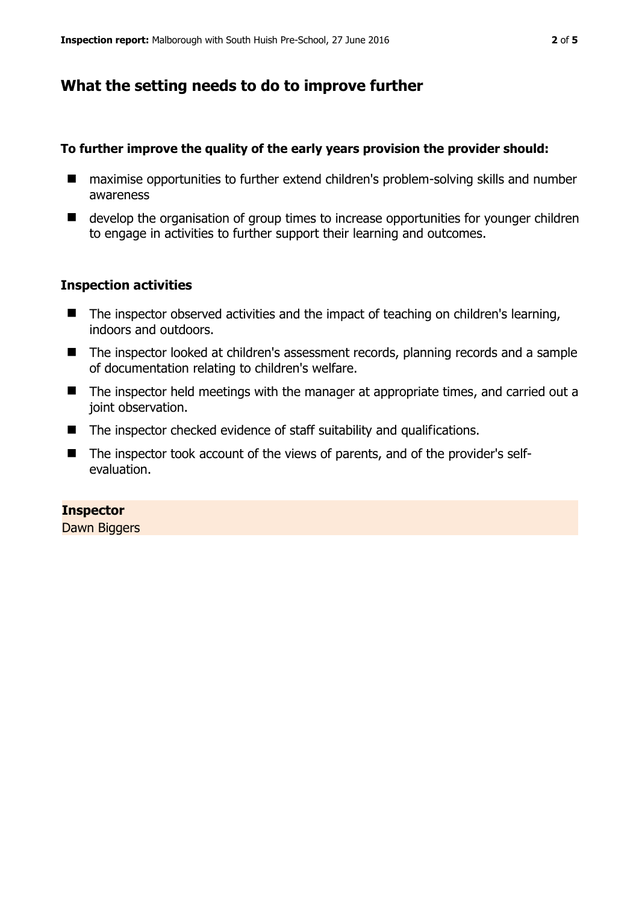## **What the setting needs to do to improve further**

#### **To further improve the quality of the early years provision the provider should:**

- maximise opportunities to further extend children's problem-solving skills and number awareness
- develop the organisation of group times to increase opportunities for vounger children to engage in activities to further support their learning and outcomes.

#### **Inspection activities**

- The inspector observed activities and the impact of teaching on children's learning, indoors and outdoors.
- The inspector looked at children's assessment records, planning records and a sample of documentation relating to children's welfare.
- The inspector held meetings with the manager at appropriate times, and carried out a joint observation.
- The inspector checked evidence of staff suitability and qualifications.
- The inspector took account of the views of parents, and of the provider's selfevaluation.

#### **Inspector**

Dawn Biggers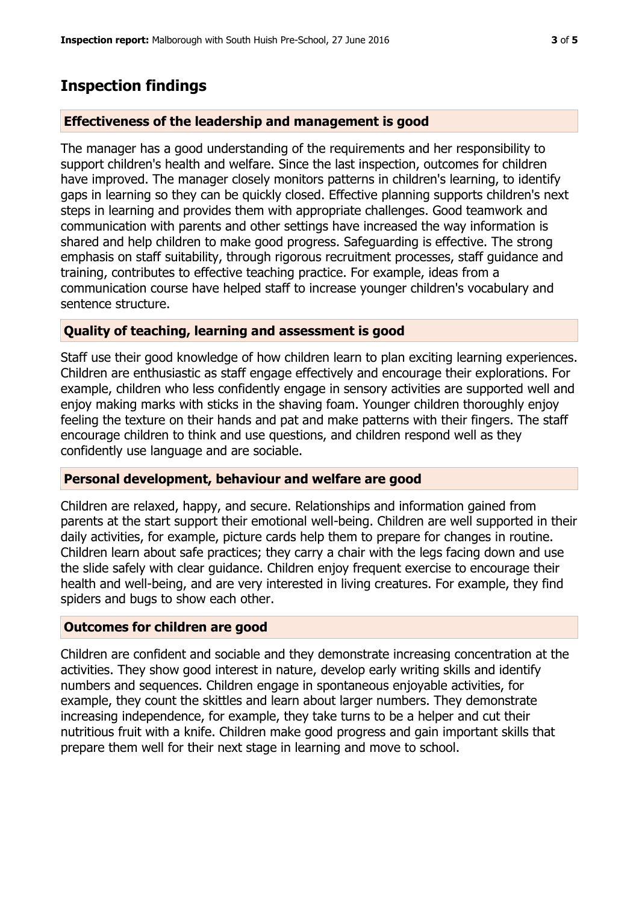## **Inspection findings**

#### **Effectiveness of the leadership and management is good**

The manager has a good understanding of the requirements and her responsibility to support children's health and welfare. Since the last inspection, outcomes for children have improved. The manager closely monitors patterns in children's learning, to identify gaps in learning so they can be quickly closed. Effective planning supports children's next steps in learning and provides them with appropriate challenges. Good teamwork and communication with parents and other settings have increased the way information is shared and help children to make good progress. Safeguarding is effective. The strong emphasis on staff suitability, through rigorous recruitment processes, staff guidance and training, contributes to effective teaching practice. For example, ideas from a communication course have helped staff to increase younger children's vocabulary and sentence structure.

#### **Quality of teaching, learning and assessment is good**

Staff use their good knowledge of how children learn to plan exciting learning experiences. Children are enthusiastic as staff engage effectively and encourage their explorations. For example, children who less confidently engage in sensory activities are supported well and enjoy making marks with sticks in the shaving foam. Younger children thoroughly enjoy feeling the texture on their hands and pat and make patterns with their fingers. The staff encourage children to think and use questions, and children respond well as they confidently use language and are sociable.

#### **Personal development, behaviour and welfare are good**

Children are relaxed, happy, and secure. Relationships and information gained from parents at the start support their emotional well-being. Children are well supported in their daily activities, for example, picture cards help them to prepare for changes in routine. Children learn about safe practices; they carry a chair with the legs facing down and use the slide safely with clear guidance. Children enjoy frequent exercise to encourage their health and well-being, and are very interested in living creatures. For example, they find spiders and bugs to show each other.

#### **Outcomes for children are good**

Children are confident and sociable and they demonstrate increasing concentration at the activities. They show good interest in nature, develop early writing skills and identify numbers and sequences. Children engage in spontaneous enjoyable activities, for example, they count the skittles and learn about larger numbers. They demonstrate increasing independence, for example, they take turns to be a helper and cut their nutritious fruit with a knife. Children make good progress and gain important skills that prepare them well for their next stage in learning and move to school.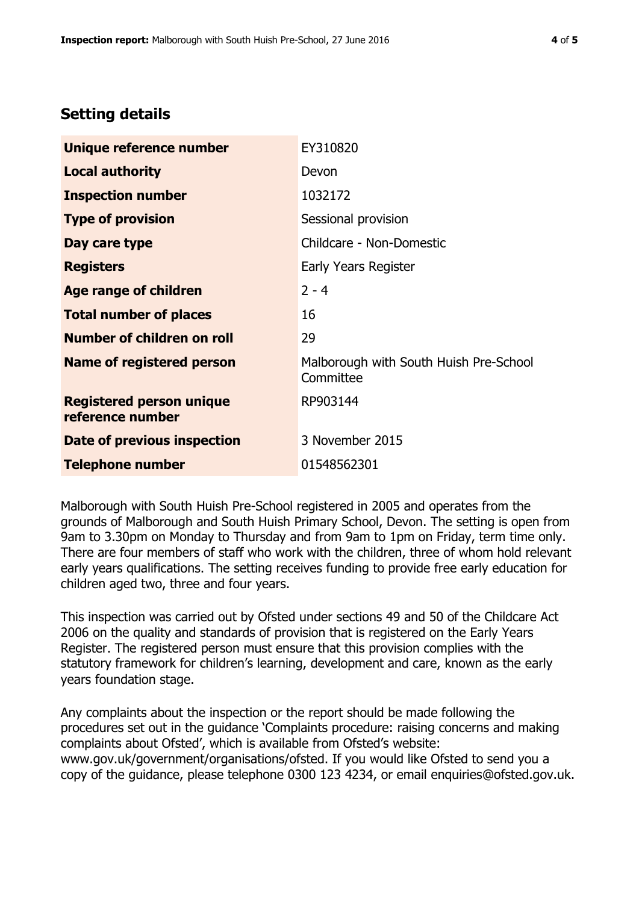# **Setting details**

| Unique reference number                             | EY310820                                            |  |
|-----------------------------------------------------|-----------------------------------------------------|--|
| <b>Local authority</b>                              | Devon                                               |  |
| <b>Inspection number</b>                            | 1032172                                             |  |
| <b>Type of provision</b>                            | Sessional provision                                 |  |
| Day care type                                       | Childcare - Non-Domestic                            |  |
| <b>Registers</b>                                    | Early Years Register                                |  |
| <b>Age range of children</b>                        | $2 - 4$                                             |  |
| <b>Total number of places</b>                       | 16                                                  |  |
| Number of children on roll                          | 29                                                  |  |
| <b>Name of registered person</b>                    | Malborough with South Huish Pre-School<br>Committee |  |
| <b>Registered person unique</b><br>reference number | RP903144                                            |  |
| Date of previous inspection                         | 3 November 2015                                     |  |
| <b>Telephone number</b>                             | 01548562301                                         |  |

Malborough with South Huish Pre-School registered in 2005 and operates from the grounds of Malborough and South Huish Primary School, Devon. The setting is open from 9am to 3.30pm on Monday to Thursday and from 9am to 1pm on Friday, term time only. There are four members of staff who work with the children, three of whom hold relevant early years qualifications. The setting receives funding to provide free early education for children aged two, three and four years.

This inspection was carried out by Ofsted under sections 49 and 50 of the Childcare Act 2006 on the quality and standards of provision that is registered on the Early Years Register. The registered person must ensure that this provision complies with the statutory framework for children's learning, development and care, known as the early years foundation stage.

Any complaints about the inspection or the report should be made following the procedures set out in the guidance 'Complaints procedure: raising concerns and making complaints about Ofsted', which is available from Ofsted's website: www.gov.uk/government/organisations/ofsted. If you would like Ofsted to send you a copy of the guidance, please telephone 0300 123 4234, or email enquiries@ofsted.gov.uk.